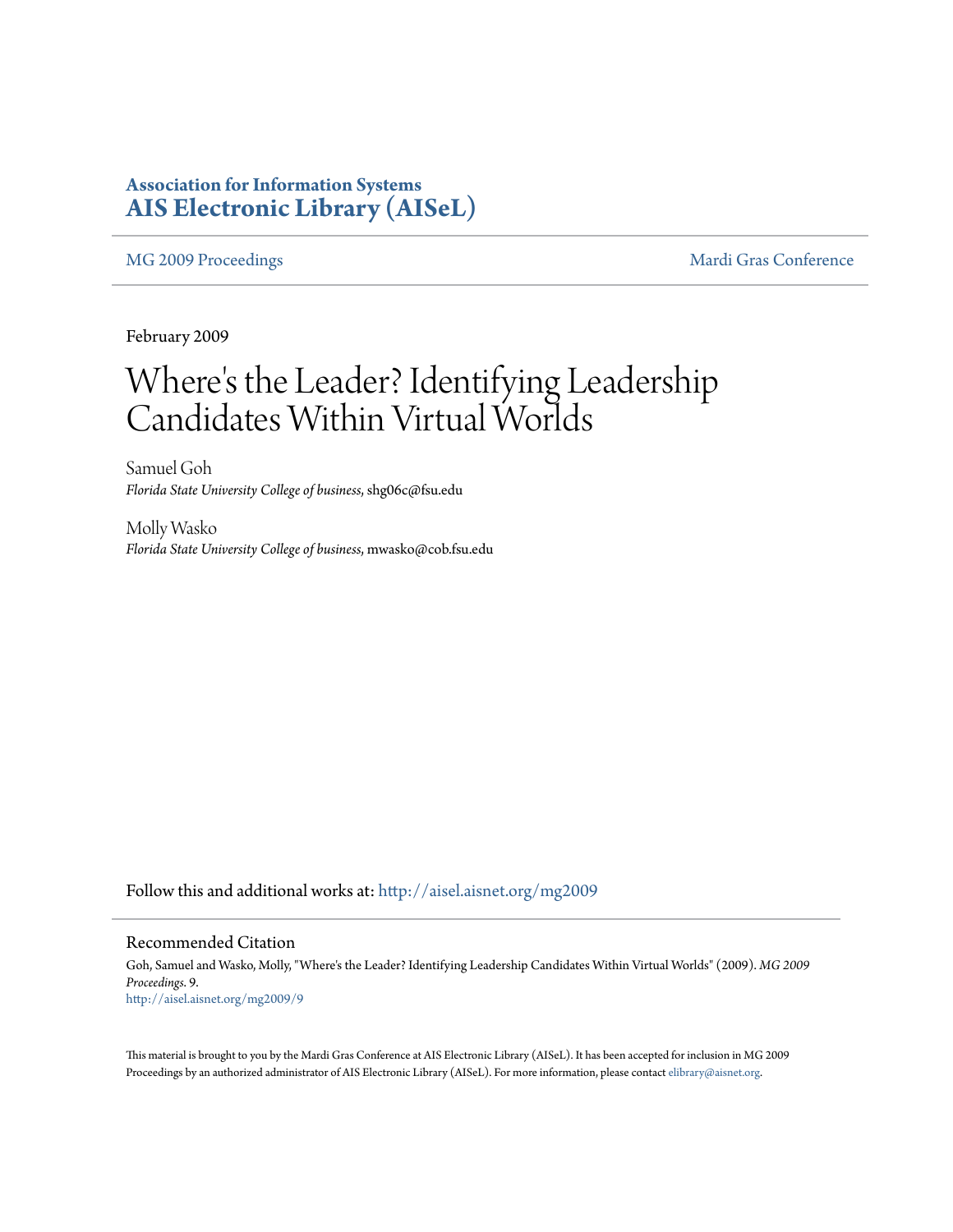### **Association for Information Systems [AIS Electronic Library \(AISeL\)](http://aisel.aisnet.org?utm_source=aisel.aisnet.org%2Fmg2009%2F9&utm_medium=PDF&utm_campaign=PDFCoverPages)**

[MG 2009 Proceedings](http://aisel.aisnet.org/mg2009?utm_source=aisel.aisnet.org%2Fmg2009%2F9&utm_medium=PDF&utm_campaign=PDFCoverPages) and the [Mardi Gras Conference](http://aisel.aisnet.org/mg?utm_source=aisel.aisnet.org%2Fmg2009%2F9&utm_medium=PDF&utm_campaign=PDFCoverPages) Mardi Gras Conference

February 2009

# Where 's the Leader? Identifying Leadership Candidates Within Virtual Worlds

Samuel Goh *Florida State University College of business*, shg06c@fsu.edu

Molly Wasko *Florida State University College of business*, mwasko@cob.fsu.edu

Follow this and additional works at: [http://aisel.aisnet.org/mg2009](http://aisel.aisnet.org/mg2009?utm_source=aisel.aisnet.org%2Fmg2009%2F9&utm_medium=PDF&utm_campaign=PDFCoverPages)

#### Recommended Citation

Goh, Samuel and Wasko, Molly, "Where's the Leader? Identifying Leadership Candidates Within Virtual Worlds" (2009). *MG 2009 Proceedings*. 9. [http://aisel.aisnet.org/mg2009/9](http://aisel.aisnet.org/mg2009/9?utm_source=aisel.aisnet.org%2Fmg2009%2F9&utm_medium=PDF&utm_campaign=PDFCoverPages)

This material is brought to you by the Mardi Gras Conference at AIS Electronic Library (AISeL). It has been accepted for inclusion in MG 2009 Proceedings by an authorized administrator of AIS Electronic Library (AISeL). For more information, please contact [elibrary@aisnet.org](mailto:elibrary@aisnet.org%3E).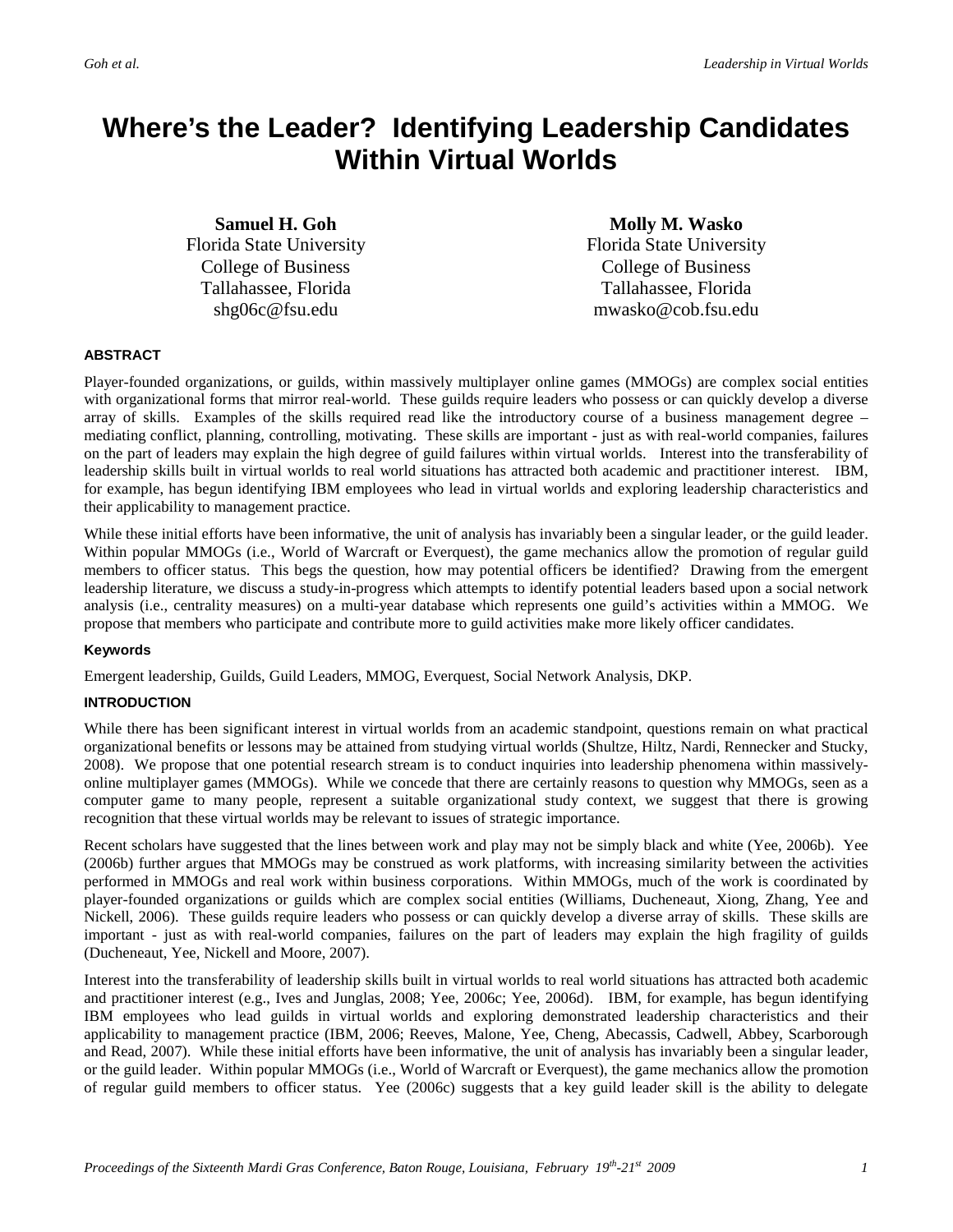## **Where's the Leader? Identifying Leadership Candidates Within Virtual Worlds**

**Samuel H. Goh**  Florida State University College of Business Tallahassee, Florida shg06c@fsu.edu

**Molly M. Wasko**  Florida State University College of Business Tallahassee, Florida mwasko@cob.fsu.edu

#### **ABSTRACT**

Player-founded organizations, or guilds, within massively multiplayer online games (MMOGs) are complex social entities with organizational forms that mirror real-world. These guilds require leaders who possess or can quickly develop a diverse array of skills. Examples of the skills required read like the introductory course of a business management degree – mediating conflict, planning, controlling, motivating. These skills are important - just as with real-world companies, failures on the part of leaders may explain the high degree of guild failures within virtual worlds. Interest into the transferability of leadership skills built in virtual worlds to real world situations has attracted both academic and practitioner interest. IBM, for example, has begun identifying IBM employees who lead in virtual worlds and exploring leadership characteristics and their applicability to management practice.

While these initial efforts have been informative, the unit of analysis has invariably been a singular leader, or the guild leader. Within popular MMOGs (i.e., World of Warcraft or Everquest), the game mechanics allow the promotion of regular guild members to officer status. This begs the question, how may potential officers be identified? Drawing from the emergent leadership literature, we discuss a study-in-progress which attempts to identify potential leaders based upon a social network analysis (i.e., centrality measures) on a multi-year database which represents one guild's activities within a MMOG. We propose that members who participate and contribute more to guild activities make more likely officer candidates.

#### **Keywords**

Emergent leadership, Guilds, Guild Leaders, MMOG, Everquest, Social Network Analysis, DKP.

#### **INTRODUCTION**

While there has been significant interest in virtual worlds from an academic standpoint, questions remain on what practical organizational benefits or lessons may be attained from studying virtual worlds (Shultze, Hiltz, Nardi, Rennecker and Stucky, 2008). We propose that one potential research stream is to conduct inquiries into leadership phenomena within massivelyonline multiplayer games (MMOGs). While we concede that there are certainly reasons to question why MMOGs, seen as a computer game to many people, represent a suitable organizational study context, we suggest that there is growing recognition that these virtual worlds may be relevant to issues of strategic importance.

Recent scholars have suggested that the lines between work and play may not be simply black and white (Yee, 2006b). Yee (2006b) further argues that MMOGs may be construed as work platforms, with increasing similarity between the activities performed in MMOGs and real work within business corporations. Within MMOGs, much of the work is coordinated by player-founded organizations or guilds which are complex social entities (Williams, Ducheneaut, Xiong, Zhang, Yee and Nickell, 2006). These guilds require leaders who possess or can quickly develop a diverse array of skills. These skills are important - just as with real-world companies, failures on the part of leaders may explain the high fragility of guilds (Ducheneaut, Yee, Nickell and Moore, 2007).

Interest into the transferability of leadership skills built in virtual worlds to real world situations has attracted both academic and practitioner interest (e.g., Ives and Junglas, 2008; Yee, 2006c; Yee, 2006d). IBM, for example, has begun identifying IBM employees who lead guilds in virtual worlds and exploring demonstrated leadership characteristics and their applicability to management practice (IBM, 2006; Reeves, Malone, Yee, Cheng, Abecassis, Cadwell, Abbey, Scarborough and Read, 2007). While these initial efforts have been informative, the unit of analysis has invariably been a singular leader, or the guild leader. Within popular MMOGs (i.e., World of Warcraft or Everquest), the game mechanics allow the promotion of regular guild members to officer status. Yee (2006c) suggests that a key guild leader skill is the ability to delegate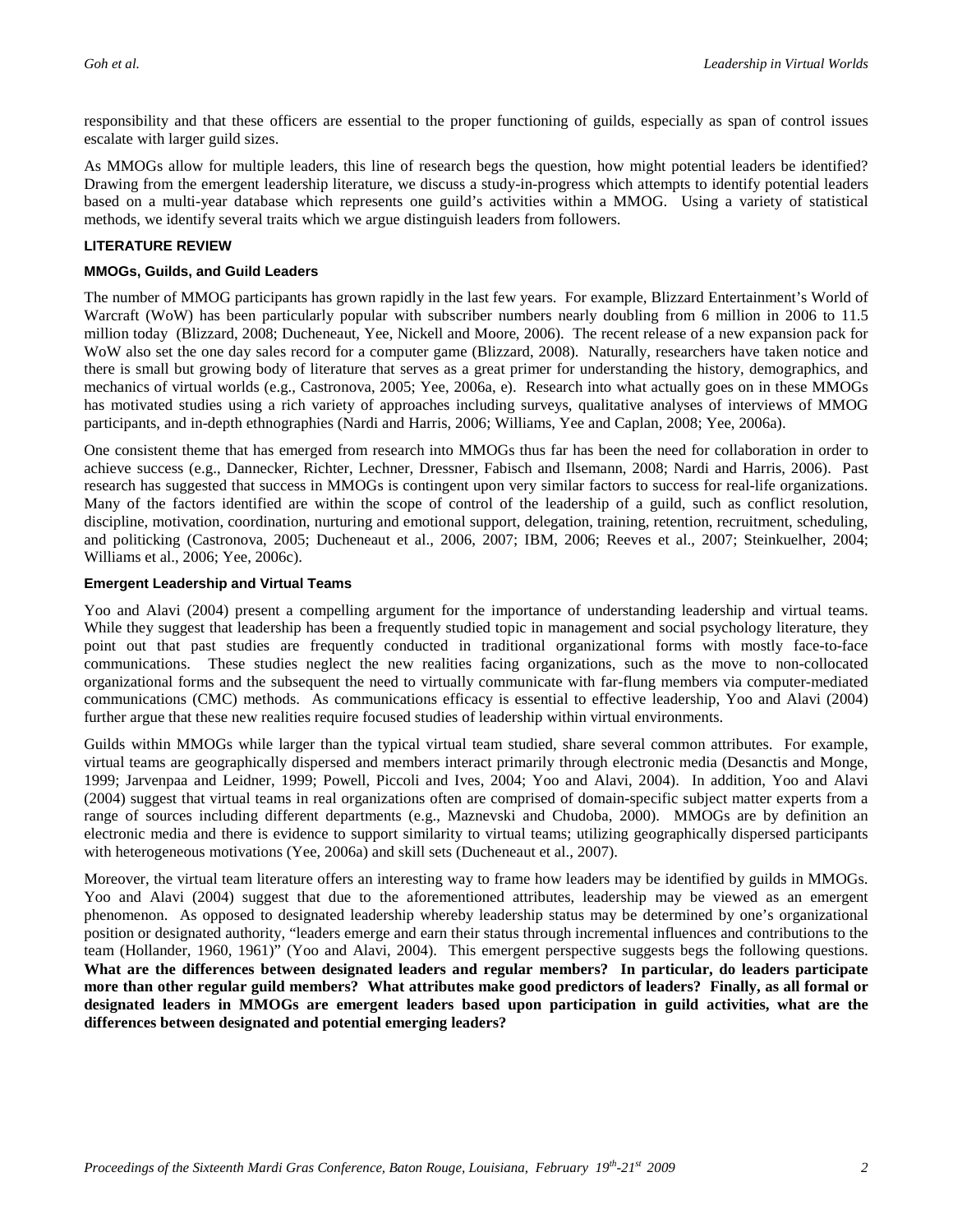responsibility and that these officers are essential to the proper functioning of guilds, especially as span of control issues escalate with larger guild sizes.

As MMOGs allow for multiple leaders, this line of research begs the question, how might potential leaders be identified? Drawing from the emergent leadership literature, we discuss a study-in-progress which attempts to identify potential leaders based on a multi-year database which represents one guild's activities within a MMOG. Using a variety of statistical methods, we identify several traits which we argue distinguish leaders from followers.

#### **LITERATURE REVIEW**

#### **MMOGs, Guilds, and Guild Leaders**

The number of MMOG participants has grown rapidly in the last few years. For example, Blizzard Entertainment's World of Warcraft (WoW) has been particularly popular with subscriber numbers nearly doubling from 6 million in 2006 to 11.5 million today (Blizzard, 2008; Ducheneaut, Yee, Nickell and Moore, 2006). The recent release of a new expansion pack for WoW also set the one day sales record for a computer game (Blizzard, 2008). Naturally, researchers have taken notice and there is small but growing body of literature that serves as a great primer for understanding the history, demographics, and mechanics of virtual worlds (e.g., Castronova, 2005; Yee, 2006a, e). Research into what actually goes on in these MMOGs has motivated studies using a rich variety of approaches including surveys, qualitative analyses of interviews of MMOG participants, and in-depth ethnographies (Nardi and Harris, 2006; Williams, Yee and Caplan, 2008; Yee, 2006a).

One consistent theme that has emerged from research into MMOGs thus far has been the need for collaboration in order to achieve success (e.g., Dannecker, Richter, Lechner, Dressner, Fabisch and Ilsemann, 2008; Nardi and Harris, 2006). Past research has suggested that success in MMOGs is contingent upon very similar factors to success for real-life organizations. Many of the factors identified are within the scope of control of the leadership of a guild, such as conflict resolution, discipline, motivation, coordination, nurturing and emotional support, delegation, training, retention, recruitment, scheduling, and politicking (Castronova, 2005; Ducheneaut et al., 2006, 2007; IBM, 2006; Reeves et al., 2007; Steinkuelher, 2004; Williams et al., 2006; Yee, 2006c).

#### **Emergent Leadership and Virtual Teams**

Yoo and Alavi (2004) present a compelling argument for the importance of understanding leadership and virtual teams. While they suggest that leadership has been a frequently studied topic in management and social psychology literature, they point out that past studies are frequently conducted in traditional organizational forms with mostly face-to-face communications. These studies neglect the new realities facing organizations, such as the move to non-collocated organizational forms and the subsequent the need to virtually communicate with far-flung members via computer-mediated communications (CMC) methods. As communications efficacy is essential to effective leadership, Yoo and Alavi (2004) further argue that these new realities require focused studies of leadership within virtual environments.

Guilds within MMOGs while larger than the typical virtual team studied, share several common attributes. For example, virtual teams are geographically dispersed and members interact primarily through electronic media (Desanctis and Monge, 1999; Jarvenpaa and Leidner, 1999; Powell, Piccoli and Ives, 2004; Yoo and Alavi, 2004). In addition, Yoo and Alavi (2004) suggest that virtual teams in real organizations often are comprised of domain-specific subject matter experts from a range of sources including different departments (e.g., Maznevski and Chudoba, 2000). MMOGs are by definition an electronic media and there is evidence to support similarity to virtual teams; utilizing geographically dispersed participants with heterogeneous motivations (Yee, 2006a) and skill sets (Ducheneaut et al., 2007).

Moreover, the virtual team literature offers an interesting way to frame how leaders may be identified by guilds in MMOGs. Yoo and Alavi (2004) suggest that due to the aforementioned attributes, leadership may be viewed as an emergent phenomenon. As opposed to designated leadership whereby leadership status may be determined by one's organizational position or designated authority, "leaders emerge and earn their status through incremental influences and contributions to the team (Hollander, 1960, 1961)" (Yoo and Alavi, 2004). This emergent perspective suggests begs the following questions. **What are the differences between designated leaders and regular members? In particular, do leaders participate more than other regular guild members? What attributes make good predictors of leaders? Finally, as all formal or designated leaders in MMOGs are emergent leaders based upon participation in guild activities, what are the differences between designated and potential emerging leaders?**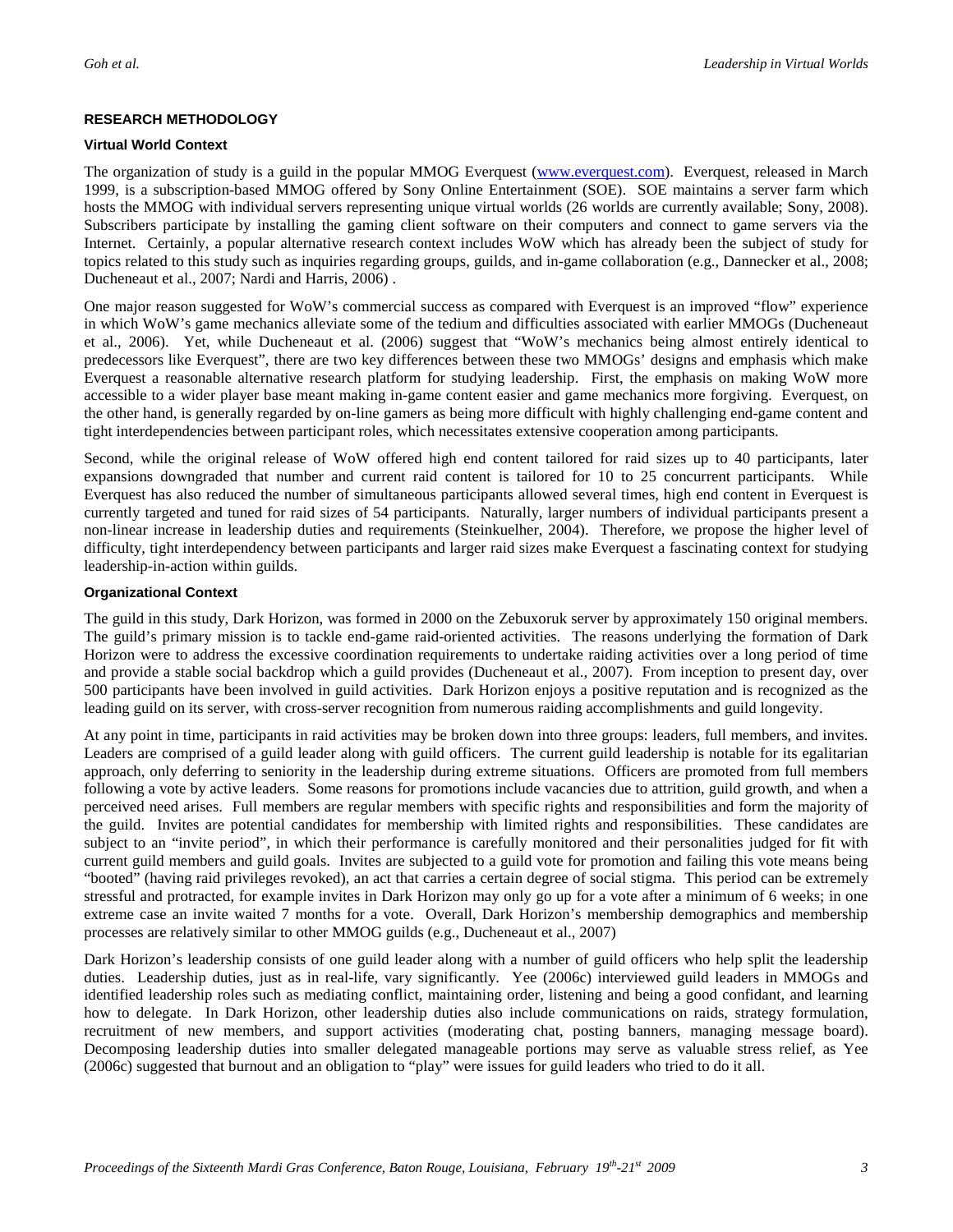#### **RESEARCH METHODOLOGY**

#### **Virtual World Context**

The organization of study is a guild in the popular MMOG Everquest (www.everquest.com). Everquest, released in March 1999, is a subscription-based MMOG offered by Sony Online Entertainment (SOE). SOE maintains a server farm which hosts the MMOG with individual servers representing unique virtual worlds (26 worlds are currently available; Sony, 2008). Subscribers participate by installing the gaming client software on their computers and connect to game servers via the Internet. Certainly, a popular alternative research context includes WoW which has already been the subject of study for topics related to this study such as inquiries regarding groups, guilds, and in-game collaboration (e.g., Dannecker et al., 2008; Ducheneaut et al., 2007; Nardi and Harris, 2006) .

One major reason suggested for WoW's commercial success as compared with Everquest is an improved "flow" experience in which WoW's game mechanics alleviate some of the tedium and difficulties associated with earlier MMOGs (Ducheneaut et al., 2006). Yet, while Ducheneaut et al. (2006) suggest that "WoW's mechanics being almost entirely identical to predecessors like Everquest", there are two key differences between these two MMOGs' designs and emphasis which make Everquest a reasonable alternative research platform for studying leadership. First, the emphasis on making WoW more accessible to a wider player base meant making in-game content easier and game mechanics more forgiving. Everquest, on the other hand, is generally regarded by on-line gamers as being more difficult with highly challenging end-game content and tight interdependencies between participant roles, which necessitates extensive cooperation among participants.

Second, while the original release of WoW offered high end content tailored for raid sizes up to 40 participants, later expansions downgraded that number and current raid content is tailored for 10 to 25 concurrent participants. While Everquest has also reduced the number of simultaneous participants allowed several times, high end content in Everquest is currently targeted and tuned for raid sizes of 54 participants. Naturally, larger numbers of individual participants present a non-linear increase in leadership duties and requirements (Steinkuelher, 2004). Therefore, we propose the higher level of difficulty, tight interdependency between participants and larger raid sizes make Everquest a fascinating context for studying leadership-in-action within guilds.

#### **Organizational Context**

The guild in this study, Dark Horizon, was formed in 2000 on the Zebuxoruk server by approximately 150 original members. The guild's primary mission is to tackle end-game raid-oriented activities. The reasons underlying the formation of Dark Horizon were to address the excessive coordination requirements to undertake raiding activities over a long period of time and provide a stable social backdrop which a guild provides (Ducheneaut et al., 2007). From inception to present day, over 500 participants have been involved in guild activities. Dark Horizon enjoys a positive reputation and is recognized as the leading guild on its server, with cross-server recognition from numerous raiding accomplishments and guild longevity.

At any point in time, participants in raid activities may be broken down into three groups: leaders, full members, and invites. Leaders are comprised of a guild leader along with guild officers. The current guild leadership is notable for its egalitarian approach, only deferring to seniority in the leadership during extreme situations. Officers are promoted from full members following a vote by active leaders. Some reasons for promotions include vacancies due to attrition, guild growth, and when a perceived need arises. Full members are regular members with specific rights and responsibilities and form the majority of the guild. Invites are potential candidates for membership with limited rights and responsibilities. These candidates are subject to an "invite period", in which their performance is carefully monitored and their personalities judged for fit with current guild members and guild goals. Invites are subjected to a guild vote for promotion and failing this vote means being "booted" (having raid privileges revoked), an act that carries a certain degree of social stigma. This period can be extremely stressful and protracted, for example invites in Dark Horizon may only go up for a vote after a minimum of 6 weeks; in one extreme case an invite waited 7 months for a vote. Overall, Dark Horizon's membership demographics and membership processes are relatively similar to other MMOG guilds (e.g., Ducheneaut et al., 2007)

Dark Horizon's leadership consists of one guild leader along with a number of guild officers who help split the leadership duties. Leadership duties, just as in real-life, vary significantly. Yee (2006c) interviewed guild leaders in MMOGs and identified leadership roles such as mediating conflict, maintaining order, listening and being a good confidant, and learning how to delegate. In Dark Horizon, other leadership duties also include communications on raids, strategy formulation, recruitment of new members, and support activities (moderating chat, posting banners, managing message board). Decomposing leadership duties into smaller delegated manageable portions may serve as valuable stress relief, as Yee (2006c) suggested that burnout and an obligation to "play" were issues for guild leaders who tried to do it all.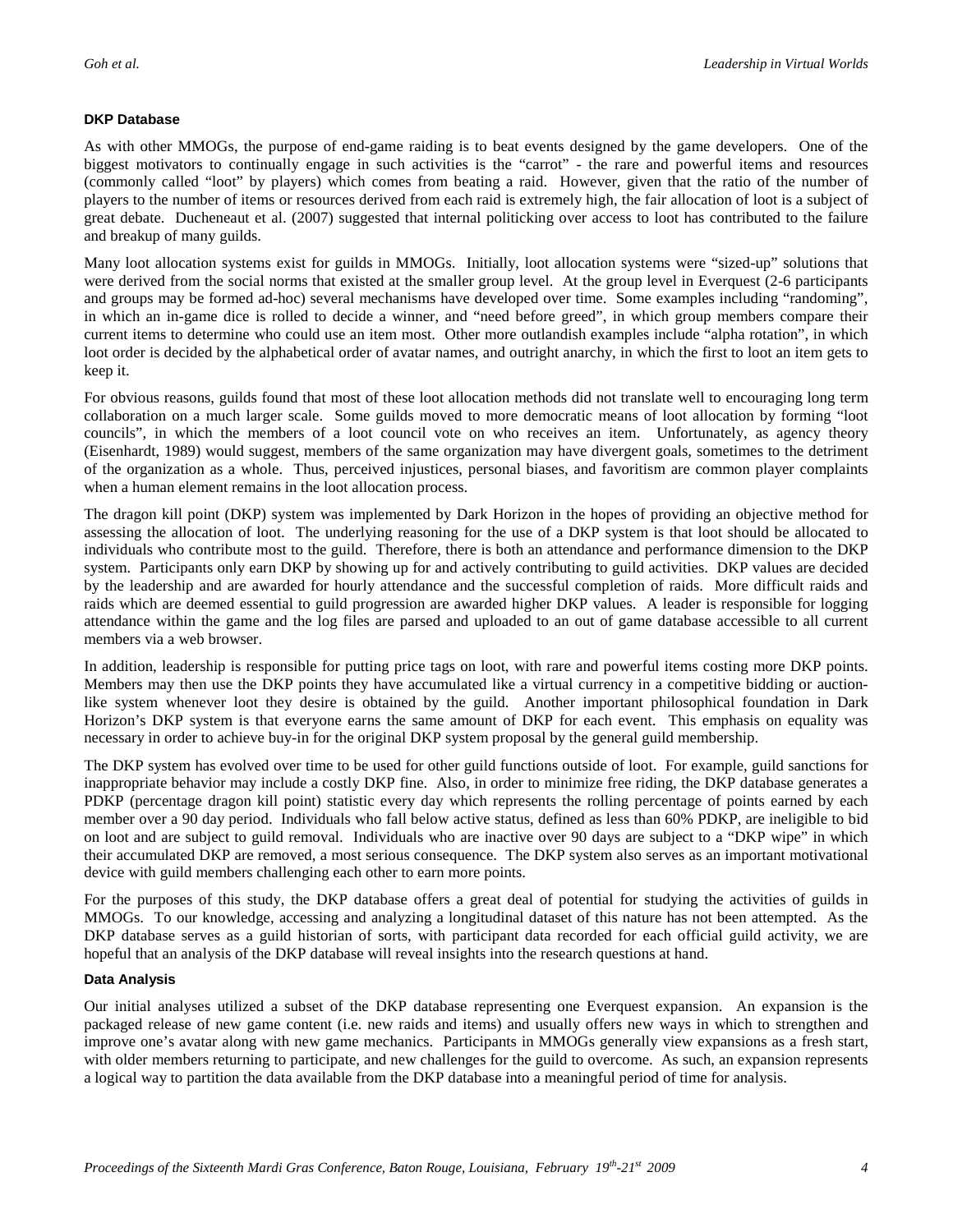#### **DKP Database**

As with other MMOGs, the purpose of end-game raiding is to beat events designed by the game developers. One of the biggest motivators to continually engage in such activities is the "carrot" - the rare and powerful items and resources (commonly called "loot" by players) which comes from beating a raid. However, given that the ratio of the number of players to the number of items or resources derived from each raid is extremely high, the fair allocation of loot is a subject of great debate. Ducheneaut et al. (2007) suggested that internal politicking over access to loot has contributed to the failure and breakup of many guilds.

Many loot allocation systems exist for guilds in MMOGs. Initially, loot allocation systems were "sized-up" solutions that were derived from the social norms that existed at the smaller group level. At the group level in Everquest (2-6 participants and groups may be formed ad-hoc) several mechanisms have developed over time. Some examples including "randoming", in which an in-game dice is rolled to decide a winner, and "need before greed", in which group members compare their current items to determine who could use an item most. Other more outlandish examples include "alpha rotation", in which loot order is decided by the alphabetical order of avatar names, and outright anarchy, in which the first to loot an item gets to keep it.

For obvious reasons, guilds found that most of these loot allocation methods did not translate well to encouraging long term collaboration on a much larger scale. Some guilds moved to more democratic means of loot allocation by forming "loot councils", in which the members of a loot council vote on who receives an item. Unfortunately, as agency theory (Eisenhardt, 1989) would suggest, members of the same organization may have divergent goals, sometimes to the detriment of the organization as a whole. Thus, perceived injustices, personal biases, and favoritism are common player complaints when a human element remains in the loot allocation process.

The dragon kill point (DKP) system was implemented by Dark Horizon in the hopes of providing an objective method for assessing the allocation of loot. The underlying reasoning for the use of a DKP system is that loot should be allocated to individuals who contribute most to the guild. Therefore, there is both an attendance and performance dimension to the DKP system. Participants only earn DKP by showing up for and actively contributing to guild activities. DKP values are decided by the leadership and are awarded for hourly attendance and the successful completion of raids. More difficult raids and raids which are deemed essential to guild progression are awarded higher DKP values. A leader is responsible for logging attendance within the game and the log files are parsed and uploaded to an out of game database accessible to all current members via a web browser.

In addition, leadership is responsible for putting price tags on loot, with rare and powerful items costing more DKP points. Members may then use the DKP points they have accumulated like a virtual currency in a competitive bidding or auctionlike system whenever loot they desire is obtained by the guild. Another important philosophical foundation in Dark Horizon's DKP system is that everyone earns the same amount of DKP for each event. This emphasis on equality was necessary in order to achieve buy-in for the original DKP system proposal by the general guild membership.

The DKP system has evolved over time to be used for other guild functions outside of loot. For example, guild sanctions for inappropriate behavior may include a costly DKP fine. Also, in order to minimize free riding, the DKP database generates a PDKP (percentage dragon kill point) statistic every day which represents the rolling percentage of points earned by each member over a 90 day period. Individuals who fall below active status, defined as less than 60% PDKP, are ineligible to bid on loot and are subject to guild removal. Individuals who are inactive over 90 days are subject to a "DKP wipe" in which their accumulated DKP are removed, a most serious consequence. The DKP system also serves as an important motivational device with guild members challenging each other to earn more points.

For the purposes of this study, the DKP database offers a great deal of potential for studying the activities of guilds in MMOGs. To our knowledge, accessing and analyzing a longitudinal dataset of this nature has not been attempted. As the DKP database serves as a guild historian of sorts, with participant data recorded for each official guild activity, we are hopeful that an analysis of the DKP database will reveal insights into the research questions at hand.

#### **Data Analysis**

Our initial analyses utilized a subset of the DKP database representing one Everquest expansion. An expansion is the packaged release of new game content (i.e. new raids and items) and usually offers new ways in which to strengthen and improve one's avatar along with new game mechanics. Participants in MMOGs generally view expansions as a fresh start, with older members returning to participate, and new challenges for the guild to overcome. As such, an expansion represents a logical way to partition the data available from the DKP database into a meaningful period of time for analysis.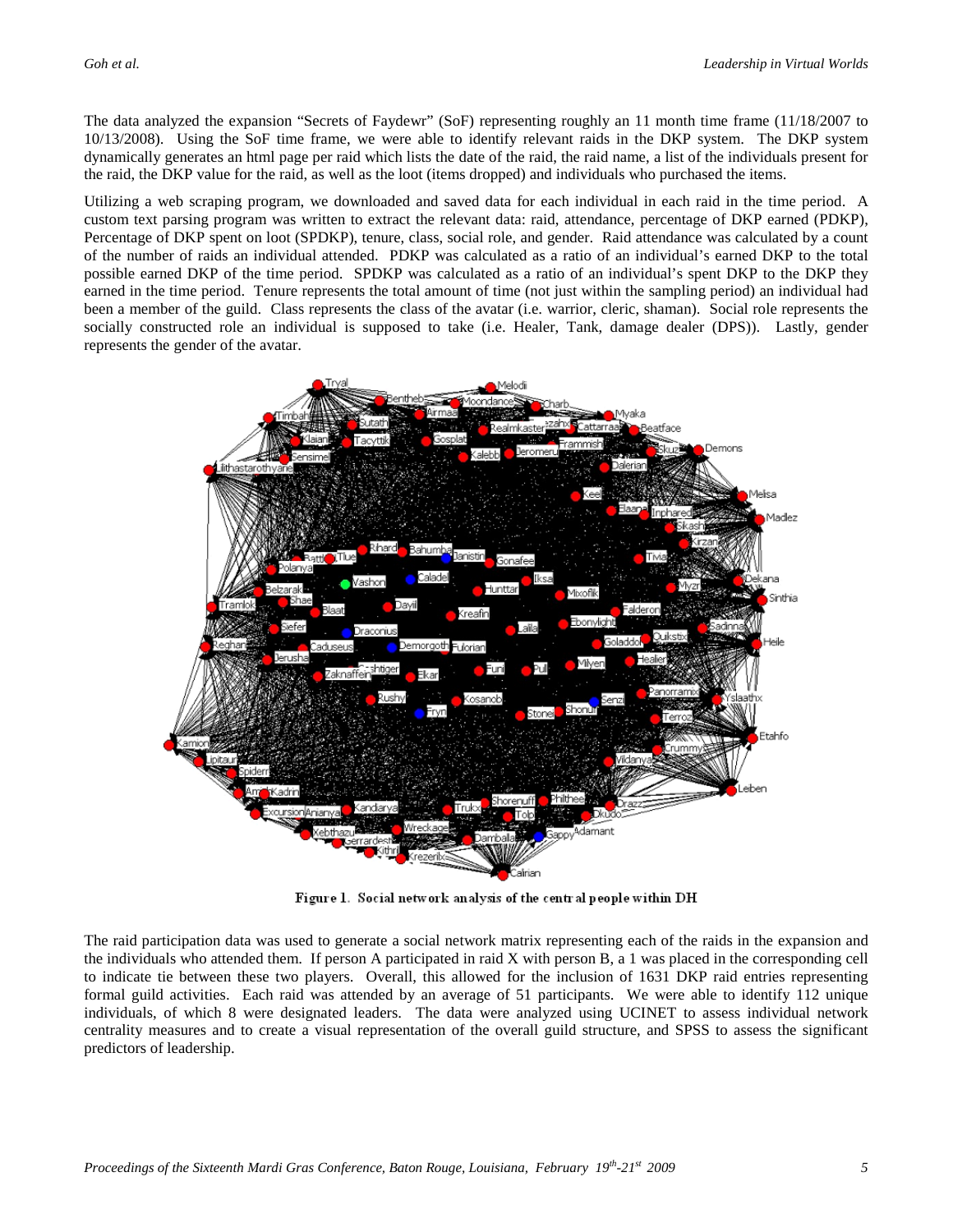The data analyzed the expansion "Secrets of Faydewr" (SoF) representing roughly an 11 month time frame (11/18/2007 to 10/13/2008). Using the SoF time frame, we were able to identify relevant raids in the DKP system. The DKP system dynamically generates an html page per raid which lists the date of the raid, the raid name, a list of the individuals present for the raid, the DKP value for the raid, as well as the loot (items dropped) and individuals who purchased the items.

Utilizing a web scraping program, we downloaded and saved data for each individual in each raid in the time period. A custom text parsing program was written to extract the relevant data: raid, attendance, percentage of DKP earned (PDKP), Percentage of DKP spent on loot (SPDKP), tenure, class, social role, and gender. Raid attendance was calculated by a count of the number of raids an individual attended. PDKP was calculated as a ratio of an individual's earned DKP to the total possible earned DKP of the time period. SPDKP was calculated as a ratio of an individual's spent DKP to the DKP they earned in the time period. Tenure represents the total amount of time (not just within the sampling period) an individual had been a member of the guild. Class represents the class of the avatar (i.e. warrior, cleric, shaman). Social role represents the socially constructed role an individual is supposed to take (i.e. Healer, Tank, damage dealer (DPS)). Lastly, gender represents the gender of the avatar.



Figure 1. Social network analysis of the central people within DH

The raid participation data was used to generate a social network matrix representing each of the raids in the expansion and the individuals who attended them. If person A participated in raid X with person B, a 1 was placed in the corresponding cell to indicate tie between these two players. Overall, this allowed for the inclusion of 1631 DKP raid entries representing formal guild activities. Each raid was attended by an average of 51 participants. We were able to identify 112 unique individuals, of which 8 were designated leaders. The data were analyzed using UCINET to assess individual network centrality measures and to create a visual representation of the overall guild structure, and SPSS to assess the significant predictors of leadership.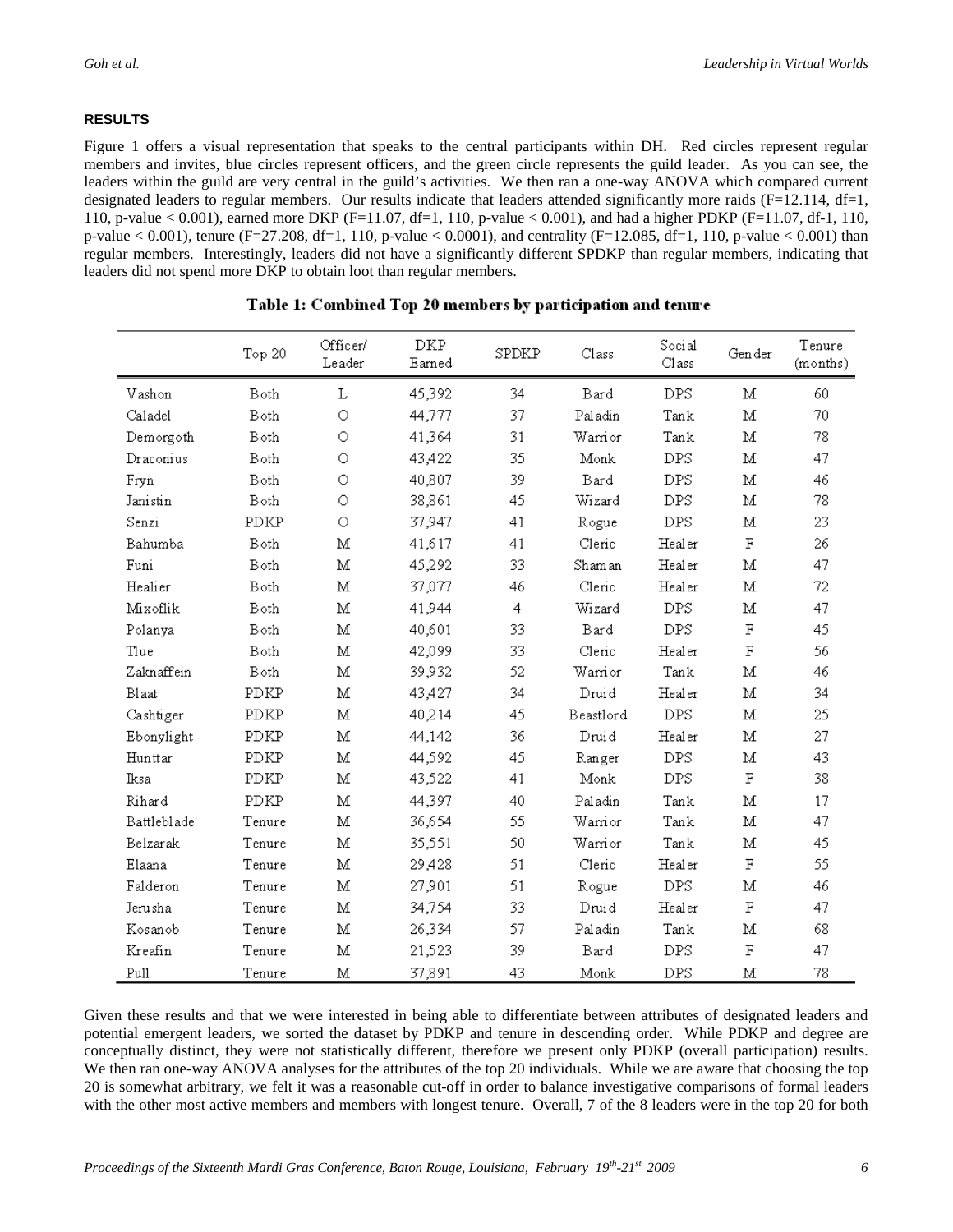#### **RESULTS**

Figure 1 offers a visual representation that speaks to the central participants within DH. Red circles represent regular members and invites, blue circles represent officers, and the green circle represents the guild leader. As you can see, the leaders within the guild are very central in the guild's activities. We then ran a one-way ANOVA which compared current designated leaders to regular members. Our results indicate that leaders attended significantly more raids  $(F=12.114, df=1,$ 110, p-value < 0.001), earned more DKP (F=11.07, df=1, 110, p-value < 0.001), and had a higher PDKP (F=11.07, df-1, 110, p-value < 0.001), tenure (F=27.208, df=1, 110, p-value < 0.0001), and centrality (F=12.085, df=1, 110, p-value < 0.001) than regular members. Interestingly, leaders did not have a significantly different SPDKP than regular members, indicating that leaders did not spend more DKP to obtain loot than regular members.

|             | Top 20 | Officer/<br>Leader | DKP<br>Earned | SPDKP          | Class                 | Social<br>Class       | Gen der            | Tenure<br>(months) |
|-------------|--------|--------------------|---------------|----------------|-----------------------|-----------------------|--------------------|--------------------|
| Vashon      | Both   | Г                  | 45,392        | 34             | Bard                  | <b>DPS</b>            | М                  | 60                 |
| Caladel     | Both   | O                  | 44,777        | 37             | Paladin               | Tank                  | M                  | 70                 |
| Demorgoth   | Both   | O                  | 41,364        | 31             | Warrior               | Tank                  | $\mathbf M$        | 78                 |
| Draconius   | Both   | O                  | 43,422        | 35             | Monk                  | <b>DPS</b>            | М                  | 47                 |
| Fryn        | Both   | $\circ$            | 40,807        | 39             | Bard                  | DPS                   | M                  | 46                 |
| Janistin    | Both   | О                  | 38,861        | 45             | Wizard                | $\rm{DPS}$            | M                  | 78                 |
| Senzi       | PDKP   | O                  | 37.947        | 41             | Rogue                 | <b>DPS</b>            | М                  | 23                 |
| Bahumba     | Both   | $\mathbf{M}$       | 41,617        | 41             | Cleric                | Healer                | $\rm F$            | 26                 |
| Funi        | Both   | М                  | 45,292        | 33             | Shaman                | Healer                | М                  | 47                 |
| Healier     | Both   | M                  | 37,077        | 46             | Cleric                | Healer                | М                  | 72                 |
| Mixoflik    | Both   | $\mathbf M$        | 41,944        | $\overline{4}$ | Wizard                | $\rm{DPS}$            | $\mathbf M$        | 47                 |
| Polanya     | Both   | М                  | 40,601        | 33             | Bard                  | <b>DPS</b>            | $\rm F$            | 45                 |
| Tlue        | Both   | М                  | 42,099        | 33             | Cleric                | Healer                | F                  | 56                 |
| Zaknaffein  | Both   | $\mathbf M$        | 39,932        | 52             | Warrior               | Tank                  | $\mathbf M$        | 46                 |
| Blaat       | PDKP   | $\mathbf M$        | 43,427        | 34             | Druid                 | Healer                | $\mathbf M$        | 34                 |
| Cashtiger   | PDKP   | м                  | 40,214        | 45             | Beastlord             | <b>DPS</b>            | М                  | 25                 |
| Ebonylight  | PDKP   | $\mathbf M$        | 44,142        | 36             | Druid                 | Healer                | $\mathbf M$        | 27                 |
| Hunttar     | PDKP   | М                  | 44,592        | 45             | Ranger                | $\rm{DPS}$            | М                  | 43                 |
| Iksa        | PDKP   | м                  | 43,522        | 41             | $\operatorname{Monk}$ | DPS                   | F                  | 38                 |
| Rihard      | PDKP   | $\mathbf M$        | 44,397        | 40             | Paladin               | Tank                  | $\overline{\rm M}$ | 17                 |
| Battleblade | Tenure | $\mathbf M$        | 36,654        | 55             | Warrior               | $\operatorname{Tank}$ | $\mathbf M$        | 47                 |
| Belzarak    | Tenure | M                  | 35,551        | 50             | Warrior               | Tank                  | М                  | 45                 |
| Elaana      | Tenure | М                  | 29,428        | 51             | Cleric                | Healer                | $\rm F$            | 55                 |
| Falderon    | Tenure | М                  | 27,901        | 51             | Rogue                 | $\rm{DPS}$            | Μ                  | 46                 |
| Jerusha     | Tenure | м                  | 34,754        | 33             | Druid                 | Healer                | F                  | 47                 |
| Kosanob     | Tenure | М                  | 26,334        | 57             | Paladin               | Tank                  | Μ                  | 68                 |
| Kreafin     | Tenure | М                  | 21,523        | 39             | Bard                  | DPS                   | $\rm F$            | 47                 |
| Pull        | Tenure | $\mathbf M$        | 37,891        | 43             | Monk                  | DPS                   | M                  | 78                 |

#### Table 1: Combined Top 20 members by participation and tenure

Given these results and that we were interested in being able to differentiate between attributes of designated leaders and potential emergent leaders, we sorted the dataset by PDKP and tenure in descending order. While PDKP and degree are conceptually distinct, they were not statistically different, therefore we present only PDKP (overall participation) results. We then ran one-way ANOVA analyses for the attributes of the top 20 individuals. While we are aware that choosing the top 20 is somewhat arbitrary, we felt it was a reasonable cut-off in order to balance investigative comparisons of formal leaders with the other most active members and members with longest tenure. Overall, 7 of the 8 leaders were in the top 20 for both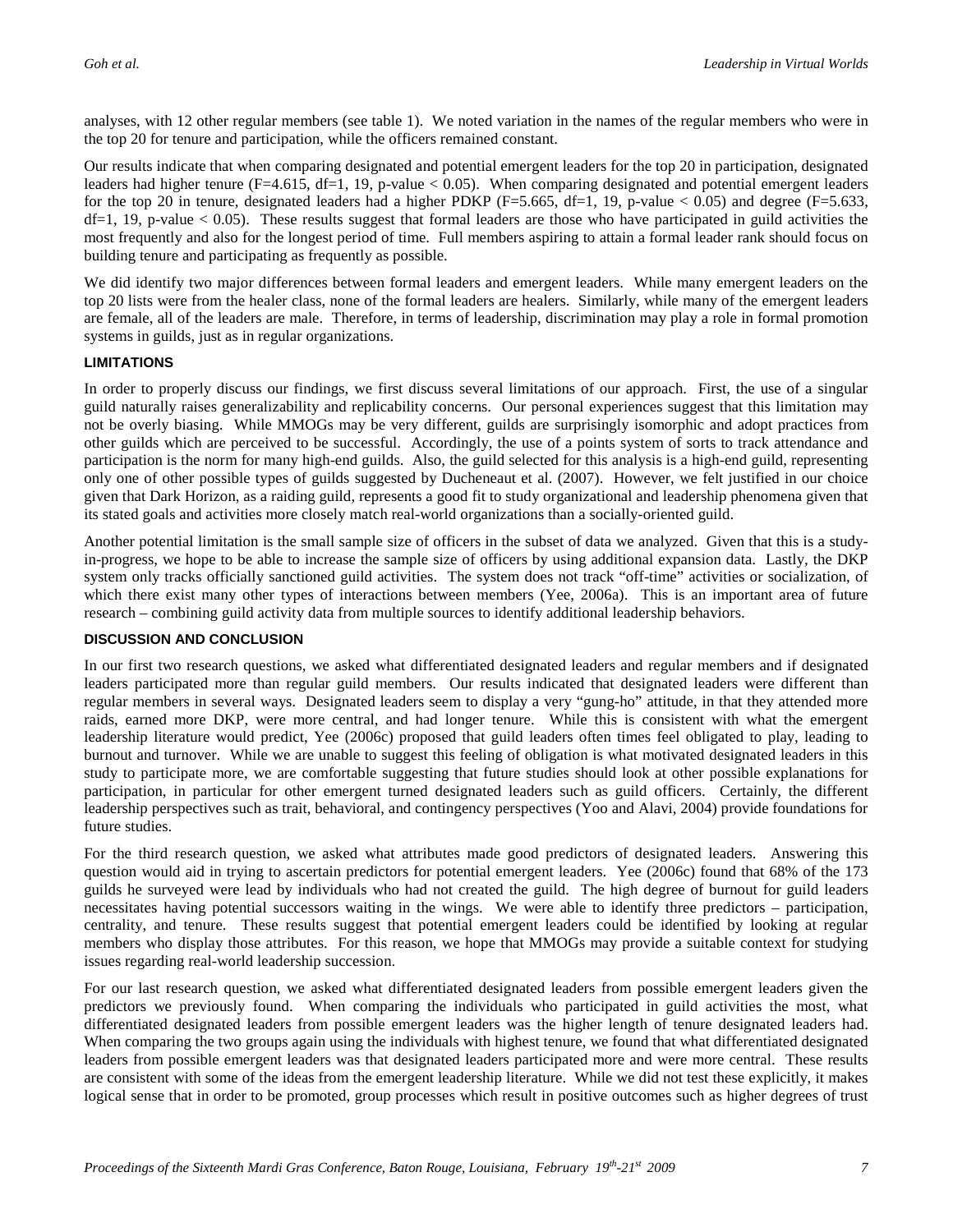analyses, with 12 other regular members (see table 1). We noted variation in the names of the regular members who were in the top 20 for tenure and participation, while the officers remained constant.

Our results indicate that when comparing designated and potential emergent leaders for the top 20 in participation, designated leaders had higher tenure (F=4.615, df=1, 19, p-value  $< 0.05$ ). When comparing designated and potential emergent leaders for the top 20 in tenure, designated leaders had a higher PDKP ( $F=5.665$ ,  $df=1$ , 19, p-value < 0.05) and degree ( $F=5.633$ ,  $df=1$ , 19, p-value  $< 0.05$ ). These results suggest that formal leaders are those who have participated in guild activities the most frequently and also for the longest period of time. Full members aspiring to attain a formal leader rank should focus on building tenure and participating as frequently as possible.

We did identify two major differences between formal leaders and emergent leaders. While many emergent leaders on the top 20 lists were from the healer class, none of the formal leaders are healers. Similarly, while many of the emergent leaders are female, all of the leaders are male. Therefore, in terms of leadership, discrimination may play a role in formal promotion systems in guilds, just as in regular organizations.

#### **LIMITATIONS**

In order to properly discuss our findings, we first discuss several limitations of our approach. First, the use of a singular guild naturally raises generalizability and replicability concerns. Our personal experiences suggest that this limitation may not be overly biasing. While MMOGs may be very different, guilds are surprisingly isomorphic and adopt practices from other guilds which are perceived to be successful. Accordingly, the use of a points system of sorts to track attendance and participation is the norm for many high-end guilds. Also, the guild selected for this analysis is a high-end guild, representing only one of other possible types of guilds suggested by Ducheneaut et al. (2007). However, we felt justified in our choice given that Dark Horizon, as a raiding guild, represents a good fit to study organizational and leadership phenomena given that its stated goals and activities more closely match real-world organizations than a socially-oriented guild.

Another potential limitation is the small sample size of officers in the subset of data we analyzed. Given that this is a studyin-progress, we hope to be able to increase the sample size of officers by using additional expansion data. Lastly, the DKP system only tracks officially sanctioned guild activities. The system does not track "off-time" activities or socialization, of which there exist many other types of interactions between members (Yee, 2006a). This is an important area of future research – combining guild activity data from multiple sources to identify additional leadership behaviors.

#### **DISCUSSION AND CONCLUSION**

In our first two research questions, we asked what differentiated designated leaders and regular members and if designated leaders participated more than regular guild members. Our results indicated that designated leaders were different than regular members in several ways. Designated leaders seem to display a very "gung-ho" attitude, in that they attended more raids, earned more DKP, were more central, and had longer tenure. While this is consistent with what the emergent leadership literature would predict, Yee (2006c) proposed that guild leaders often times feel obligated to play, leading to burnout and turnover. While we are unable to suggest this feeling of obligation is what motivated designated leaders in this study to participate more, we are comfortable suggesting that future studies should look at other possible explanations for participation, in particular for other emergent turned designated leaders such as guild officers. Certainly, the different leadership perspectives such as trait, behavioral, and contingency perspectives (Yoo and Alavi, 2004) provide foundations for future studies.

For the third research question, we asked what attributes made good predictors of designated leaders. Answering this question would aid in trying to ascertain predictors for potential emergent leaders. Yee (2006c) found that 68% of the 173 guilds he surveyed were lead by individuals who had not created the guild. The high degree of burnout for guild leaders necessitates having potential successors waiting in the wings. We were able to identify three predictors – participation, centrality, and tenure. These results suggest that potential emergent leaders could be identified by looking at regular members who display those attributes. For this reason, we hope that MMOGs may provide a suitable context for studying issues regarding real-world leadership succession.

For our last research question, we asked what differentiated designated leaders from possible emergent leaders given the predictors we previously found. When comparing the individuals who participated in guild activities the most, what differentiated designated leaders from possible emergent leaders was the higher length of tenure designated leaders had. When comparing the two groups again using the individuals with highest tenure, we found that what differentiated designated leaders from possible emergent leaders was that designated leaders participated more and were more central. These results are consistent with some of the ideas from the emergent leadership literature. While we did not test these explicitly, it makes logical sense that in order to be promoted, group processes which result in positive outcomes such as higher degrees of trust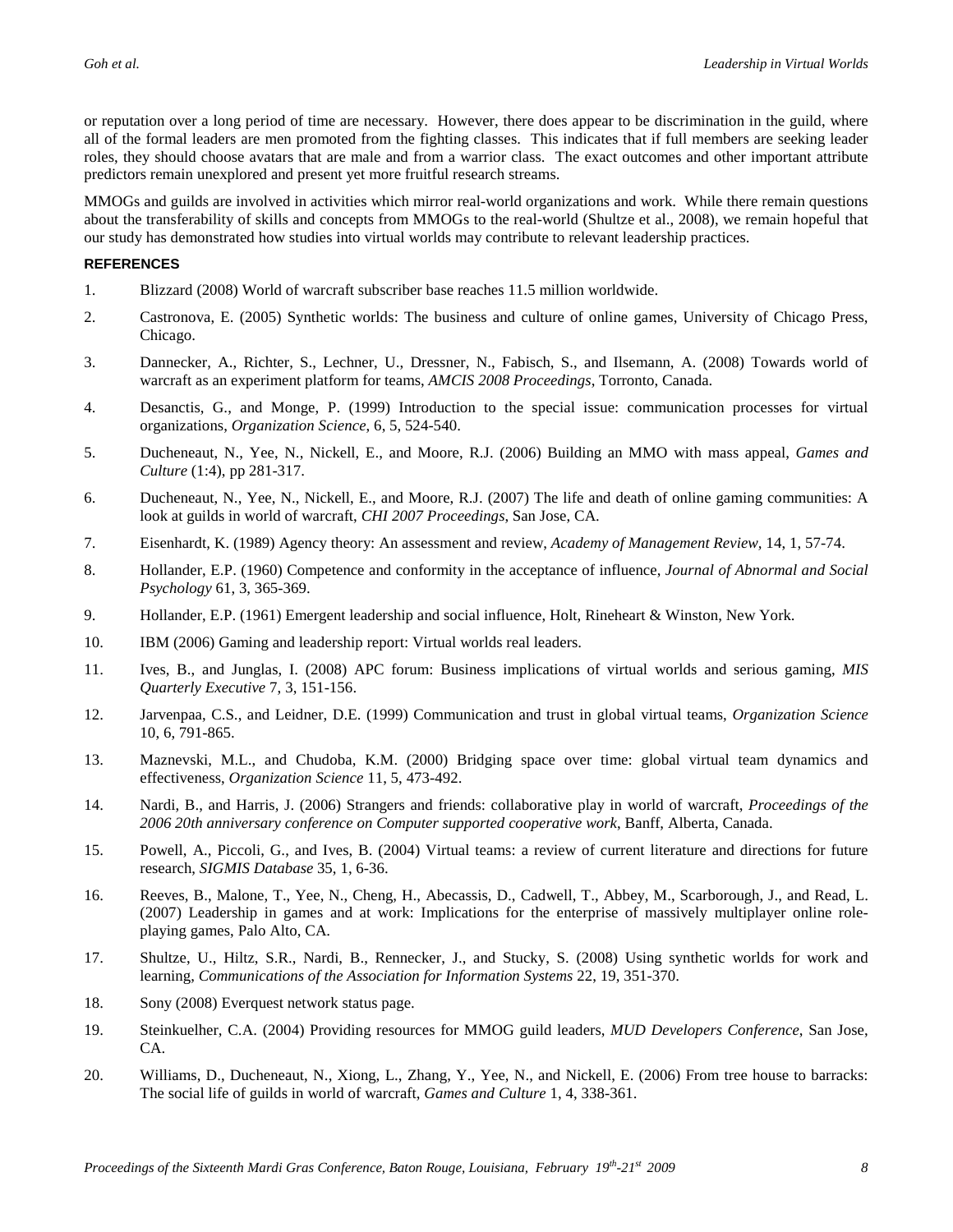or reputation over a long period of time are necessary. However, there does appear to be discrimination in the guild, where all of the formal leaders are men promoted from the fighting classes. This indicates that if full members are seeking leader roles, they should choose avatars that are male and from a warrior class. The exact outcomes and other important attribute predictors remain unexplored and present yet more fruitful research streams.

MMOGs and guilds are involved in activities which mirror real-world organizations and work. While there remain questions about the transferability of skills and concepts from MMOGs to the real-world (Shultze et al., 2008), we remain hopeful that our study has demonstrated how studies into virtual worlds may contribute to relevant leadership practices.

#### **REFERENCES**

- 1. Blizzard (2008) World of warcraft subscriber base reaches 11.5 million worldwide.
- 2. Castronova, E. (2005) Synthetic worlds: The business and culture of online games, University of Chicago Press, Chicago.
- 3. Dannecker, A., Richter, S., Lechner, U., Dressner, N., Fabisch, S., and Ilsemann, A. (2008) Towards world of warcraft as an experiment platform for teams, *AMCIS 2008 Proceedings*, Torronto, Canada.
- 4. Desanctis, G., and Monge, P. (1999) Introduction to the special issue: communication processes for virtual organizations, *Organization Science*, 6, 5, 524-540.
- 5. Ducheneaut, N., Yee, N., Nickell, E., and Moore, R.J. (2006) Building an MMO with mass appeal, *Games and Culture* (1:4), pp 281-317.
- 6. Ducheneaut, N., Yee, N., Nickell, E., and Moore, R.J. (2007) The life and death of online gaming communities: A look at guilds in world of warcraft, *CHI 2007 Proceedings*, San Jose, CA.
- 7. Eisenhardt, K. (1989) Agency theory: An assessment and review, *Academy of Management Review,* 14, 1, 57-74.
- 8. Hollander, E.P. (1960) Competence and conformity in the acceptance of influence, *Journal of Abnormal and Social Psychology* 61, 3, 365-369.
- 9. Hollander, E.P. (1961) Emergent leadership and social influence, Holt, Rineheart & Winston, New York.
- 10. IBM (2006) Gaming and leadership report: Virtual worlds real leaders.
- 11. Ives, B., and Junglas, I. (2008) APC forum: Business implications of virtual worlds and serious gaming, *MIS Quarterly Executive* 7, 3, 151-156.
- 12. Jarvenpaa, C.S., and Leidner, D.E. (1999) Communication and trust in global virtual teams, *Organization Science* 10, 6, 791-865.
- 13. Maznevski, M.L., and Chudoba, K.M. (2000) Bridging space over time: global virtual team dynamics and effectiveness, *Organization Science* 11, 5, 473-492.
- 14. Nardi, B., and Harris, J. (2006) Strangers and friends: collaborative play in world of warcraft, *Proceedings of the 2006 20th anniversary conference on Computer supported cooperative work*, Banff, Alberta, Canada.
- 15. Powell, A., Piccoli, G., and Ives, B. (2004) Virtual teams: a review of current literature and directions for future research, *SIGMIS Database* 35, 1, 6-36.
- 16. Reeves, B., Malone, T., Yee, N., Cheng, H., Abecassis, D., Cadwell, T., Abbey, M., Scarborough, J., and Read, L. (2007) Leadership in games and at work: Implications for the enterprise of massively multiplayer online roleplaying games, Palo Alto, CA.
- 17. Shultze, U., Hiltz, S.R., Nardi, B., Rennecker, J., and Stucky, S. (2008) Using synthetic worlds for work and learning, *Communications of the Association for Information Systems* 22, 19, 351-370.
- 18. Sony (2008) Everquest network status page.
- 19. Steinkuelher, C.A. (2004) Providing resources for MMOG guild leaders, *MUD Developers Conference*, San Jose, CA.
- 20. Williams, D., Ducheneaut, N., Xiong, L., Zhang, Y., Yee, N., and Nickell, E. (2006) From tree house to barracks: The social life of guilds in world of warcraft, *Games and Culture* 1, 4, 338-361.